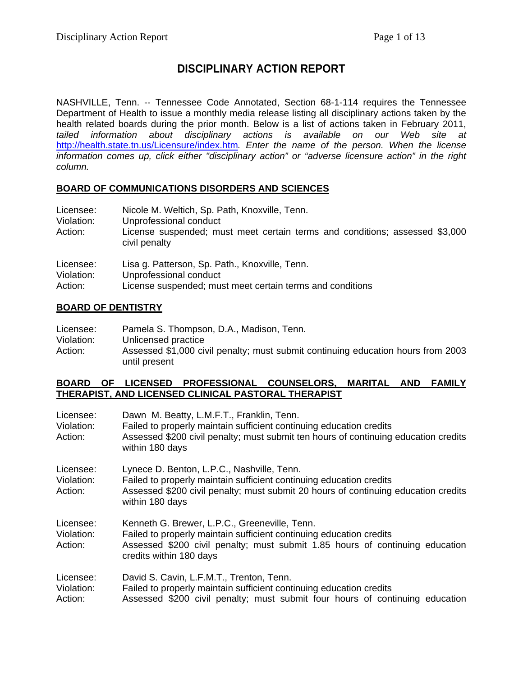# **DISCIPLINARY ACTION REPORT**

NASHVILLE, Tenn. -- Tennessee Code Annotated, Section 68-1-114 requires the Tennessee Department of Health to issue a monthly media release listing all disciplinary actions taken by the health related boards during the prior month. Below is a list of actions taken in February 2011, *tailed information about disciplinary actions is available on our Web site at*  <http://health.state.tn.us/Licensure/index.htm>*. Enter the name of the person. When the license information comes up, click either "disciplinary action" or "adverse licensure action" in the right column.* 

#### **BOARD OF COMMUNICATIONS DISORDERS AND SCIENCES**

| Licensee:<br>Violation:<br>Action: | Nicole M. Weltich, Sp. Path, Knoxville, Tenn.<br>Unprofessional conduct<br>License suspended; must meet certain terms and conditions; assessed \$3,000<br>civil penalty |
|------------------------------------|-------------------------------------------------------------------------------------------------------------------------------------------------------------------------|
| Licensee:                          | Lisa g. Patterson, Sp. Path., Knoxville, Tenn.                                                                                                                          |
| Violation:                         | Unprofessional conduct                                                                                                                                                  |
| Action:                            | License suspended; must meet certain terms and conditions                                                                                                               |

#### **BOARD OF DENTISTRY**

| Licensee:  | Pamela S. Thompson, D.A., Madison, Tenn.                                         |
|------------|----------------------------------------------------------------------------------|
| Violation: | Unlicensed practice                                                              |
| Action:    | Assessed \$1,000 civil penalty; must submit continuing education hours from 2003 |
|            | until present                                                                    |

#### **BOARD OF LICENSED PROFESSIONAL COUNSELORS, MARITAL AND FAMILY THERAPIST, AND LICENSED CLINICAL PASTORAL THERAPIST**

| Licensee:<br>Violation:<br>Action: | Dawn M. Beatty, L.M.F.T., Franklin, Tenn.<br>Failed to properly maintain sufficient continuing education credits<br>Assessed \$200 civil penalty; must submit ten hours of continuing education credits<br>within 180 days      |
|------------------------------------|---------------------------------------------------------------------------------------------------------------------------------------------------------------------------------------------------------------------------------|
| Licensee:<br>Violation:<br>Action: | Lynece D. Benton, L.P.C., Nashville, Tenn.<br>Failed to properly maintain sufficient continuing education credits<br>Assessed \$200 civil penalty; must submit 20 hours of continuing education credits<br>within 180 days      |
| Licensee:<br>Violation:<br>Action: | Kenneth G. Brewer, L.P.C., Greeneville, Tenn.<br>Failed to properly maintain sufficient continuing education credits<br>Assessed \$200 civil penalty; must submit 1.85 hours of continuing education<br>credits within 180 days |
| Licensee:<br>Violation:<br>Action: | David S. Cavin, L.F.M.T., Trenton, Tenn.<br>Failed to properly maintain sufficient continuing education credits<br>Assessed \$200 civil penalty; must submit four hours of continuing education                                 |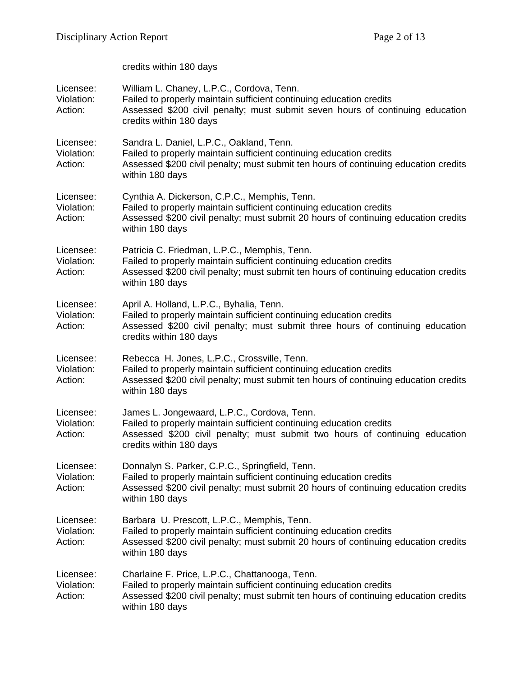|                                    | credits within 180 days                                                                                                                                                                                                         |
|------------------------------------|---------------------------------------------------------------------------------------------------------------------------------------------------------------------------------------------------------------------------------|
| Licensee:<br>Violation:<br>Action: | William L. Chaney, L.P.C., Cordova, Tenn.<br>Failed to properly maintain sufficient continuing education credits<br>Assessed \$200 civil penalty; must submit seven hours of continuing education<br>credits within 180 days    |
| Licensee:<br>Violation:<br>Action: | Sandra L. Daniel, L.P.C., Oakland, Tenn.<br>Failed to properly maintain sufficient continuing education credits<br>Assessed \$200 civil penalty; must submit ten hours of continuing education credits<br>within 180 days       |
| Licensee:<br>Violation:<br>Action: | Cynthia A. Dickerson, C.P.C., Memphis, Tenn.<br>Failed to properly maintain sufficient continuing education credits<br>Assessed \$200 civil penalty; must submit 20 hours of continuing education credits<br>within 180 days    |
| Licensee:<br>Violation:<br>Action: | Patricia C. Friedman, L.P.C., Memphis, Tenn.<br>Failed to properly maintain sufficient continuing education credits<br>Assessed \$200 civil penalty; must submit ten hours of continuing education credits<br>within 180 days   |
| Licensee:<br>Violation:<br>Action: | April A. Holland, L.P.C., Byhalia, Tenn.<br>Failed to properly maintain sufficient continuing education credits<br>Assessed \$200 civil penalty; must submit three hours of continuing education<br>credits within 180 days     |
| Licensee:<br>Violation:<br>Action: | Rebecca H. Jones, L.P.C., Crossville, Tenn.<br>Failed to properly maintain sufficient continuing education credits<br>Assessed \$200 civil penalty; must submit ten hours of continuing education credits<br>within 180 days    |
| Licensee:<br>Violation:<br>Action: | James L. Jongewaard, L.P.C., Cordova, Tenn.<br>Failed to properly maintain sufficient continuing education credits<br>Assessed \$200 civil penalty; must submit two hours of continuing education<br>credits within 180 days    |
| Licensee:<br>Violation:<br>Action: | Donnalyn S. Parker, C.P.C., Springfield, Tenn.<br>Failed to properly maintain sufficient continuing education credits<br>Assessed \$200 civil penalty; must submit 20 hours of continuing education credits<br>within 180 days  |
| Licensee:<br>Violation:<br>Action: | Barbara U. Prescott, L.P.C., Memphis, Tenn.<br>Failed to properly maintain sufficient continuing education credits<br>Assessed \$200 civil penalty; must submit 20 hours of continuing education credits<br>within 180 days     |
| Licensee:<br>Violation:<br>Action: | Charlaine F. Price, L.P.C., Chattanooga, Tenn.<br>Failed to properly maintain sufficient continuing education credits<br>Assessed \$200 civil penalty; must submit ten hours of continuing education credits<br>within 180 days |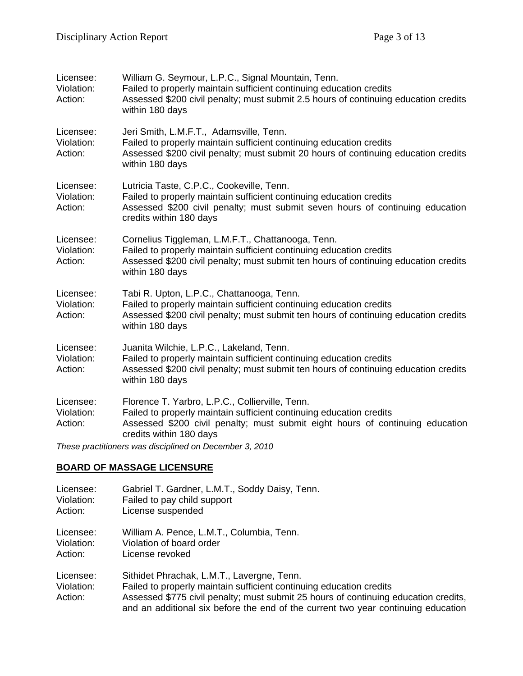| Licensee:<br>Violation:<br>Action: | William G. Seymour, L.P.C., Signal Mountain, Tenn.<br>Failed to properly maintain sufficient continuing education credits<br>Assessed \$200 civil penalty; must submit 2.5 hours of continuing education credits<br>within 180 days |
|------------------------------------|-------------------------------------------------------------------------------------------------------------------------------------------------------------------------------------------------------------------------------------|
| Licensee:<br>Violation:<br>Action: | Jeri Smith, L.M.F.T., Adamsville, Tenn.<br>Failed to properly maintain sufficient continuing education credits<br>Assessed \$200 civil penalty; must submit 20 hours of continuing education credits<br>within 180 days             |
| Licensee:<br>Violation:<br>Action: | Lutricia Taste, C.P.C., Cookeville, Tenn.<br>Failed to properly maintain sufficient continuing education credits<br>Assessed \$200 civil penalty; must submit seven hours of continuing education<br>credits within 180 days        |
| Licensee:<br>Violation:<br>Action: | Cornelius Tiggleman, L.M.F.T., Chattanooga, Tenn.<br>Failed to properly maintain sufficient continuing education credits<br>Assessed \$200 civil penalty; must submit ten hours of continuing education credits<br>within 180 days  |
| Licensee:<br>Violation:<br>Action: | Tabi R. Upton, L.P.C., Chattanooga, Tenn.<br>Failed to properly maintain sufficient continuing education credits<br>Assessed \$200 civil penalty; must submit ten hours of continuing education credits<br>within 180 days          |
| Licensee:<br>Violation:<br>Action: | Juanita Wilchie, L.P.C., Lakeland, Tenn.<br>Failed to properly maintain sufficient continuing education credits<br>Assessed \$200 civil penalty; must submit ten hours of continuing education credits<br>within 180 days           |
| Licensee:<br>Violation:<br>Action: | Florence T. Yarbro, L.P.C., Collierville, Tenn.<br>Failed to properly maintain sufficient continuing education credits<br>Assessed \$200 civil penalty; must submit eight hours of continuing education<br>credits within 180 days  |
|                                    | These practitioners was disciplined on December 3, 2010                                                                                                                                                                             |

# **BOARD OF MASSAGE LICENSURE**

| Licensee:                          | Gabriel T. Gardner, L.M.T., Soddy Daisy, Tenn.                                                                                                                                                                                                                                                |
|------------------------------------|-----------------------------------------------------------------------------------------------------------------------------------------------------------------------------------------------------------------------------------------------------------------------------------------------|
| Violation:                         | Failed to pay child support                                                                                                                                                                                                                                                                   |
| Action:                            | License suspended                                                                                                                                                                                                                                                                             |
| Licensee:                          | William A. Pence, L.M.T., Columbia, Tenn.                                                                                                                                                                                                                                                     |
| Violation:                         | Violation of board order                                                                                                                                                                                                                                                                      |
| Action:                            | License revoked                                                                                                                                                                                                                                                                               |
| Licensee:<br>Violation:<br>Action: | Sithidet Phrachak, L.M.T., Lavergne, Tenn.<br>Failed to properly maintain sufficient continuing education credits<br>Assessed \$775 civil penalty; must submit 25 hours of continuing education credits,<br>and an additional six before the end of the current two year continuing education |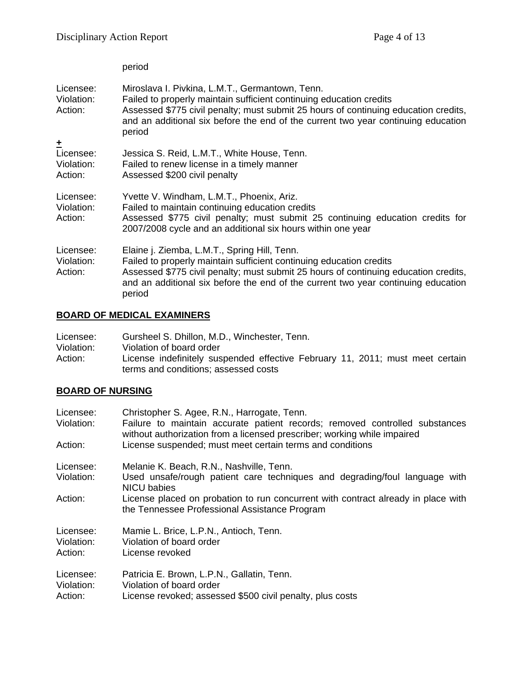#### period

| Licensee:<br>Violation:<br>Action:      | Miroslava I. Pivkina, L.M.T., Germantown, Tenn.<br>Failed to properly maintain sufficient continuing education credits<br>Assessed \$775 civil penalty; must submit 25 hours of continuing education credits,<br>and an additional six before the end of the current two year continuing education<br>period |
|-----------------------------------------|--------------------------------------------------------------------------------------------------------------------------------------------------------------------------------------------------------------------------------------------------------------------------------------------------------------|
| 土<br>Licensee:<br>Violation:<br>Action: | Jessica S. Reid, L.M.T., White House, Tenn.<br>Failed to renew license in a timely manner<br>Assessed \$200 civil penalty                                                                                                                                                                                    |
| Licensee:<br>Violation:<br>Action:      | Yvette V. Windham, L.M.T., Phoenix, Ariz.<br>Failed to maintain continuing education credits<br>Assessed \$775 civil penalty; must submit 25 continuing education credits for<br>2007/2008 cycle and an additional six hours within one year                                                                 |
| Licensee:<br>Violation:<br>Action:      | Elaine j. Ziemba, L.M.T., Spring Hill, Tenn.<br>Failed to properly maintain sufficient continuing education credits<br>Assessed \$775 civil penalty; must submit 25 hours of continuing education credits,<br>and an additional six before the end of the current two year continuing education<br>period    |

# **BOARD OF MEDICAL EXAMINERS**

| Licensee:  | Gursheel S. Dhillon, M.D., Winchester, Tenn.                                  |
|------------|-------------------------------------------------------------------------------|
| Violation: | Violation of board order                                                      |
| Action:    | License indefinitely suspended effective February 11, 2011; must meet certain |
|            | terms and conditions; assessed costs                                          |

# **BOARD OF NURSING**

| Licensee:  | Christopher S. Agee, R.N., Harrogate, Tenn.                                                                                                             |
|------------|---------------------------------------------------------------------------------------------------------------------------------------------------------|
| Violation: | Failure to maintain accurate patient records; removed controlled substances<br>without authorization from a licensed prescriber; working while impaired |
| Action:    | License suspended; must meet certain terms and conditions                                                                                               |
| Licensee:  | Melanie K. Beach, R.N., Nashville, Tenn.                                                                                                                |
| Violation: | Used unsafe/rough patient care techniques and degrading/foul language with<br><b>NICU</b> babies                                                        |
| Action:    | License placed on probation to run concurrent with contract already in place with<br>the Tennessee Professional Assistance Program                      |
| Licensee:  | Mamie L. Brice, L.P.N., Antioch, Tenn.                                                                                                                  |
| Violation: | Violation of board order                                                                                                                                |
| Action:    | License revoked                                                                                                                                         |
| Licensee:  | Patricia E. Brown, L.P.N., Gallatin, Tenn.                                                                                                              |
| Violation: | Violation of board order                                                                                                                                |
| Action:    | License revoked; assessed \$500 civil penalty, plus costs                                                                                               |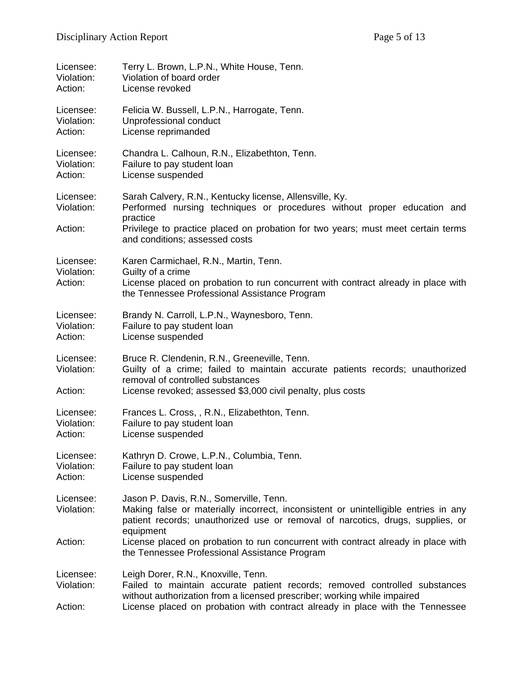| Licensee:<br>Violation:<br>Action: | Terry L. Brown, L.P.N., White House, Tenn.<br>Violation of board order<br>License revoked                                                                                                                                        |
|------------------------------------|----------------------------------------------------------------------------------------------------------------------------------------------------------------------------------------------------------------------------------|
| Licensee:<br>Violation:<br>Action: | Felicia W. Bussell, L.P.N., Harrogate, Tenn.<br>Unprofessional conduct<br>License reprimanded                                                                                                                                    |
| Licensee:<br>Violation:<br>Action: | Chandra L. Calhoun, R.N., Elizabethton, Tenn.<br>Failure to pay student loan<br>License suspended                                                                                                                                |
| Licensee:<br>Violation:            | Sarah Calvery, R.N., Kentucky license, Allensville, Ky.<br>Performed nursing techniques or procedures without proper education and<br>practice                                                                                   |
| Action:                            | Privilege to practice placed on probation for two years; must meet certain terms<br>and conditions; assessed costs                                                                                                               |
| Licensee:<br>Violation:<br>Action: | Karen Carmichael, R.N., Martin, Tenn.<br>Guilty of a crime<br>License placed on probation to run concurrent with contract already in place with<br>the Tennessee Professional Assistance Program                                 |
| Licensee:<br>Violation:<br>Action: | Brandy N. Carroll, L.P.N., Waynesboro, Tenn.<br>Failure to pay student loan<br>License suspended                                                                                                                                 |
| Licensee:<br>Violation:<br>Action: | Bruce R. Clendenin, R.N., Greeneville, Tenn.<br>Guilty of a crime; failed to maintain accurate patients records; unauthorized<br>removal of controlled substances<br>License revoked; assessed \$3,000 civil penalty, plus costs |
| Licensee:<br>Violation:<br>Action: | Frances L. Cross, , R.N., Elizabethton, Tenn.<br>Failure to pay student loan<br>License suspended                                                                                                                                |
| Licensee:<br>Violation:<br>Action: | Kathryn D. Crowe, L.P.N., Columbia, Tenn.<br>Failure to pay student loan<br>License suspended                                                                                                                                    |
| Licensee:<br>Violation:            | Jason P. Davis, R.N., Somerville, Tenn.<br>Making false or materially incorrect, inconsistent or unintelligible entries in any<br>patient records; unauthorized use or removal of narcotics, drugs, supplies, or<br>equipment    |
| Action:                            | License placed on probation to run concurrent with contract already in place with<br>the Tennessee Professional Assistance Program                                                                                               |
| Licensee:<br>Violation:            | Leigh Dorer, R.N., Knoxville, Tenn.<br>Failed to maintain accurate patient records; removed controlled substances<br>without authorization from a licensed prescriber; working while impaired                                    |
| Action:                            | License placed on probation with contract already in place with the Tennessee                                                                                                                                                    |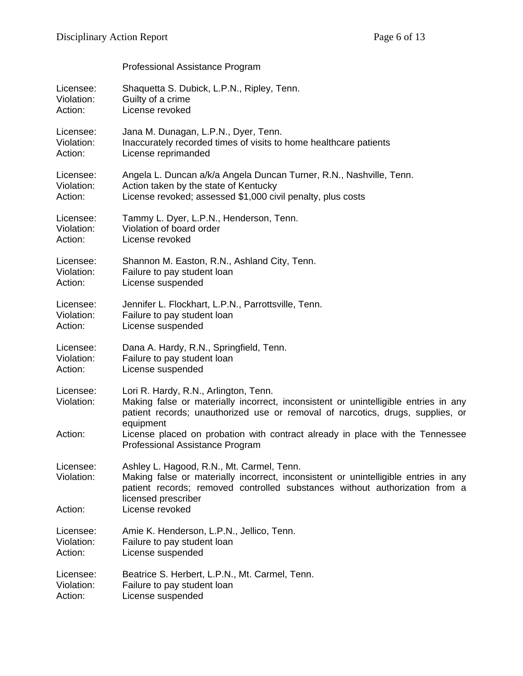|                         | Professional Assistance Program                                                                                                                                                                                                        |
|-------------------------|----------------------------------------------------------------------------------------------------------------------------------------------------------------------------------------------------------------------------------------|
| Licensee:               | Shaquetta S. Dubick, L.P.N., Ripley, Tenn.                                                                                                                                                                                             |
| Violation:              | Guilty of a crime                                                                                                                                                                                                                      |
| Action:                 | License revoked                                                                                                                                                                                                                        |
| Licensee:               | Jana M. Dunagan, L.P.N., Dyer, Tenn.                                                                                                                                                                                                   |
| Violation:              | Inaccurately recorded times of visits to home healthcare patients                                                                                                                                                                      |
| Action:                 | License reprimanded                                                                                                                                                                                                                    |
| Licensee:               | Angela L. Duncan a/k/a Angela Duncan Turner, R.N., Nashville, Tenn.                                                                                                                                                                    |
| Violation:              | Action taken by the state of Kentucky                                                                                                                                                                                                  |
| Action:                 | License revoked; assessed \$1,000 civil penalty, plus costs                                                                                                                                                                            |
| Licensee:               | Tammy L. Dyer, L.P.N., Henderson, Tenn.                                                                                                                                                                                                |
| Violation:              | Violation of board order                                                                                                                                                                                                               |
| Action:                 | License revoked                                                                                                                                                                                                                        |
| Licensee:               | Shannon M. Easton, R.N., Ashland City, Tenn.                                                                                                                                                                                           |
| Violation:              | Failure to pay student loan                                                                                                                                                                                                            |
| Action:                 | License suspended                                                                                                                                                                                                                      |
| Licensee:               | Jennifer L. Flockhart, L.P.N., Parrottsville, Tenn.                                                                                                                                                                                    |
| Violation:              | Failure to pay student loan                                                                                                                                                                                                            |
| Action:                 | License suspended                                                                                                                                                                                                                      |
| Licensee:               | Dana A. Hardy, R.N., Springfield, Tenn.                                                                                                                                                                                                |
| Violation:              | Failure to pay student loan                                                                                                                                                                                                            |
| Action:                 | License suspended                                                                                                                                                                                                                      |
| Licensee:<br>Violation: | Lori R. Hardy, R.N., Arlington, Tenn.<br>Making false or materially incorrect, inconsistent or unintelligible entries in any<br>patient records; unauthorized use or removal of narcotics, drugs, supplies, or<br>equipment            |
| Action:                 | License placed on probation with contract already in place with the Tennessee<br>Professional Assistance Program                                                                                                                       |
| Licensee:<br>Violation: | Ashley L. Hagood, R.N., Mt. Carmel, Tenn.<br>Making false or materially incorrect, inconsistent or unintelligible entries in any<br>patient records; removed controlled substances without authorization from a<br>licensed prescriber |
| Action:                 | License revoked                                                                                                                                                                                                                        |
| Licensee:               | Amie K. Henderson, L.P.N., Jellico, Tenn.                                                                                                                                                                                              |
| Violation:              | Failure to pay student loan                                                                                                                                                                                                            |
| Action:                 | License suspended                                                                                                                                                                                                                      |
| Licensee:               | Beatrice S. Herbert, L.P.N., Mt. Carmel, Tenn.                                                                                                                                                                                         |
| Violation:              | Failure to pay student loan                                                                                                                                                                                                            |
| Action:                 | License suspended                                                                                                                                                                                                                      |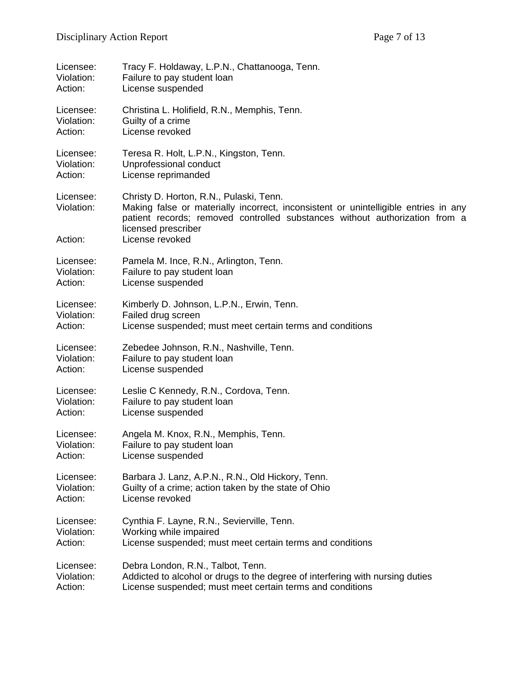| Licensee:                          | Tracy F. Holdaway, L.P.N., Chattanooga, Tenn.                                                                                                                                                                                                           |
|------------------------------------|---------------------------------------------------------------------------------------------------------------------------------------------------------------------------------------------------------------------------------------------------------|
| Violation:                         | Failure to pay student loan                                                                                                                                                                                                                             |
| Action:                            | License suspended                                                                                                                                                                                                                                       |
| Licensee:                          | Christina L. Holifield, R.N., Memphis, Tenn.                                                                                                                                                                                                            |
| Violation:                         | Guilty of a crime                                                                                                                                                                                                                                       |
| Action:                            | License revoked                                                                                                                                                                                                                                         |
| Licensee:                          | Teresa R. Holt, L.P.N., Kingston, Tenn.                                                                                                                                                                                                                 |
| Violation:                         | Unprofessional conduct                                                                                                                                                                                                                                  |
| Action:                            | License reprimanded                                                                                                                                                                                                                                     |
| Licensee:<br>Violation:<br>Action: | Christy D. Horton, R.N., Pulaski, Tenn.<br>Making false or materially incorrect, inconsistent or unintelligible entries in any<br>patient records; removed controlled substances without authorization from a<br>licensed prescriber<br>License revoked |
| Licensee:                          | Pamela M. Ince, R.N., Arlington, Tenn.                                                                                                                                                                                                                  |
| Violation:                         | Failure to pay student loan                                                                                                                                                                                                                             |
| Action:                            | License suspended                                                                                                                                                                                                                                       |
| Licensee:                          | Kimberly D. Johnson, L.P.N., Erwin, Tenn.                                                                                                                                                                                                               |
| Violation:                         | Failed drug screen                                                                                                                                                                                                                                      |
| Action:                            | License suspended; must meet certain terms and conditions                                                                                                                                                                                               |
| Licensee:                          | Zebedee Johnson, R.N., Nashville, Tenn.                                                                                                                                                                                                                 |
| Violation:                         | Failure to pay student loan                                                                                                                                                                                                                             |
| Action:                            | License suspended                                                                                                                                                                                                                                       |
| Licensee:                          | Leslie C Kennedy, R.N., Cordova, Tenn.                                                                                                                                                                                                                  |
| Violation:                         | Failure to pay student loan                                                                                                                                                                                                                             |
| Action:                            | License suspended                                                                                                                                                                                                                                       |
| Licensee:                          | Angela M. Knox, R.N., Memphis, Tenn.                                                                                                                                                                                                                    |
| Violation:                         | Failure to pay student loan                                                                                                                                                                                                                             |
| Action:                            | License suspended                                                                                                                                                                                                                                       |
| Licensee:                          | Barbara J. Lanz, A.P.N., R.N., Old Hickory, Tenn.                                                                                                                                                                                                       |
| Violation:                         | Guilty of a crime; action taken by the state of Ohio                                                                                                                                                                                                    |
| Action:                            | License revoked                                                                                                                                                                                                                                         |
| Licensee:                          | Cynthia F. Layne, R.N., Sevierville, Tenn.                                                                                                                                                                                                              |
| Violation:                         | Working while impaired                                                                                                                                                                                                                                  |
| Action:                            | License suspended; must meet certain terms and conditions                                                                                                                                                                                               |
| Licensee:                          | Debra London, R.N., Talbot, Tenn.                                                                                                                                                                                                                       |
| Violation:                         | Addicted to alcohol or drugs to the degree of interfering with nursing duties                                                                                                                                                                           |
| Action:                            | License suspended; must meet certain terms and conditions                                                                                                                                                                                               |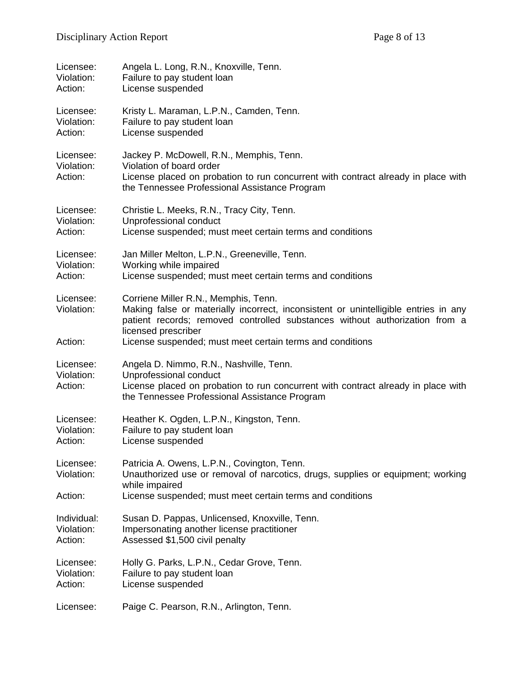| Licensee:                          | Angela L. Long, R.N., Knoxville, Tenn.                                                                                                                                                                                                                                                         |
|------------------------------------|------------------------------------------------------------------------------------------------------------------------------------------------------------------------------------------------------------------------------------------------------------------------------------------------|
| Violation:                         | Failure to pay student loan                                                                                                                                                                                                                                                                    |
| Action:                            | License suspended                                                                                                                                                                                                                                                                              |
| Licensee:                          | Kristy L. Maraman, L.P.N., Camden, Tenn.                                                                                                                                                                                                                                                       |
| Violation:                         | Failure to pay student loan                                                                                                                                                                                                                                                                    |
| Action:                            | License suspended                                                                                                                                                                                                                                                                              |
| Licensee:<br>Violation:<br>Action: | Jackey P. McDowell, R.N., Memphis, Tenn.<br>Violation of board order<br>License placed on probation to run concurrent with contract already in place with<br>the Tennessee Professional Assistance Program                                                                                     |
| Licensee:                          | Christie L. Meeks, R.N., Tracy City, Tenn.                                                                                                                                                                                                                                                     |
| Violation:                         | Unprofessional conduct                                                                                                                                                                                                                                                                         |
| Action:                            | License suspended; must meet certain terms and conditions                                                                                                                                                                                                                                      |
| Licensee:                          | Jan Miller Melton, L.P.N., Greeneville, Tenn.                                                                                                                                                                                                                                                  |
| Violation:                         | Working while impaired                                                                                                                                                                                                                                                                         |
| Action:                            | License suspended; must meet certain terms and conditions                                                                                                                                                                                                                                      |
| Licensee:<br>Violation:<br>Action: | Corriene Miller R.N., Memphis, Tenn.<br>Making false or materially incorrect, inconsistent or unintelligible entries in any<br>patient records; removed controlled substances without authorization from a<br>licensed prescriber<br>License suspended; must meet certain terms and conditions |
| Licensee:<br>Violation:<br>Action: | Angela D. Nimmo, R.N., Nashville, Tenn.<br>Unprofessional conduct<br>License placed on probation to run concurrent with contract already in place with<br>the Tennessee Professional Assistance Program                                                                                        |
| Licensee:                          | Heather K. Ogden, L.P.N., Kingston, Tenn.                                                                                                                                                                                                                                                      |
| Violation:                         | Failure to pay student loan                                                                                                                                                                                                                                                                    |
| Action:                            | License suspended                                                                                                                                                                                                                                                                              |
| Licensee:<br>Violation:<br>Action: | Patricia A. Owens, L.P.N., Covington, Tenn.<br>Unauthorized use or removal of narcotics, drugs, supplies or equipment; working<br>while impaired<br>License suspended; must meet certain terms and conditions                                                                                  |
| Individual:                        | Susan D. Pappas, Unlicensed, Knoxville, Tenn.                                                                                                                                                                                                                                                  |
| Violation:                         | Impersonating another license practitioner                                                                                                                                                                                                                                                     |
| Action:                            | Assessed \$1,500 civil penalty                                                                                                                                                                                                                                                                 |
| Licensee:                          | Holly G. Parks, L.P.N., Cedar Grove, Tenn.                                                                                                                                                                                                                                                     |
| Violation:                         | Failure to pay student loan                                                                                                                                                                                                                                                                    |
| Action:                            | License suspended                                                                                                                                                                                                                                                                              |
| Licensee:                          | Paige C. Pearson, R.N., Arlington, Tenn.                                                                                                                                                                                                                                                       |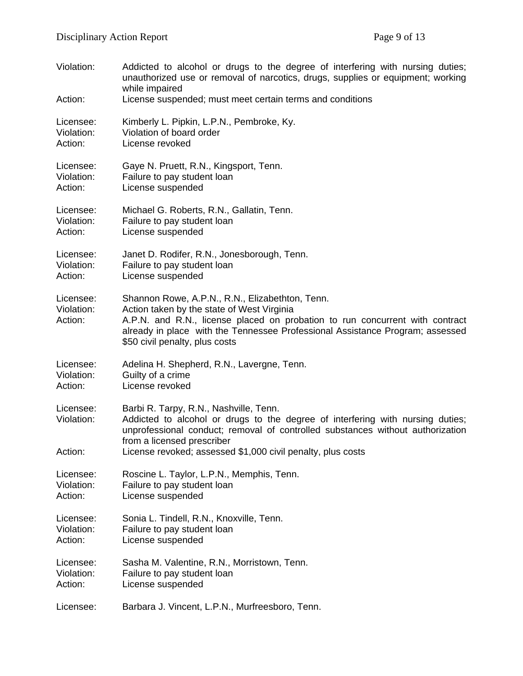| Violation:<br>Action:              | Addicted to alcohol or drugs to the degree of interfering with nursing duties;<br>unauthorized use or removal of narcotics, drugs, supplies or equipment; working<br>while impaired<br>License suspended; must meet certain terms and conditions                                                 |
|------------------------------------|--------------------------------------------------------------------------------------------------------------------------------------------------------------------------------------------------------------------------------------------------------------------------------------------------|
| Licensee:                          | Kimberly L. Pipkin, L.P.N., Pembroke, Ky.                                                                                                                                                                                                                                                        |
| Violation:                         | Violation of board order                                                                                                                                                                                                                                                                         |
| Action:                            | License revoked                                                                                                                                                                                                                                                                                  |
| Licensee:                          | Gaye N. Pruett, R.N., Kingsport, Tenn.                                                                                                                                                                                                                                                           |
| Violation:                         | Failure to pay student loan                                                                                                                                                                                                                                                                      |
| Action:                            | License suspended                                                                                                                                                                                                                                                                                |
| Licensee:                          | Michael G. Roberts, R.N., Gallatin, Tenn.                                                                                                                                                                                                                                                        |
| Violation:                         | Failure to pay student loan                                                                                                                                                                                                                                                                      |
| Action:                            | License suspended                                                                                                                                                                                                                                                                                |
| Licensee:                          | Janet D. Rodifer, R.N., Jonesborough, Tenn.                                                                                                                                                                                                                                                      |
| Violation:                         | Failure to pay student loan                                                                                                                                                                                                                                                                      |
| Action:                            | License suspended                                                                                                                                                                                                                                                                                |
| Licensee:<br>Violation:<br>Action: | Shannon Rowe, A.P.N., R.N., Elizabethton, Tenn.<br>Action taken by the state of West Virginia<br>A.P.N. and R.N., license placed on probation to run concurrent with contract<br>already in place with the Tennessee Professional Assistance Program; assessed<br>\$50 civil penalty, plus costs |
| Licensee:                          | Adelina H. Shepherd, R.N., Lavergne, Tenn.                                                                                                                                                                                                                                                       |
| Violation:                         | Guilty of a crime                                                                                                                                                                                                                                                                                |
| Action:                            | License revoked                                                                                                                                                                                                                                                                                  |
| Licensee:<br>Violation:            | Barbi R. Tarpy, R.N., Nashville, Tenn.<br>Addicted to alcohol or drugs to the degree of interfering with nursing duties;<br>unprofessional conduct; removal of controlled substances without authorization<br>from a licensed prescriber                                                         |
| Action:                            | License revoked; assessed \$1,000 civil penalty, plus costs                                                                                                                                                                                                                                      |
| Licensee:                          | Roscine L. Taylor, L.P.N., Memphis, Tenn.                                                                                                                                                                                                                                                        |
| Violation:                         | Failure to pay student loan                                                                                                                                                                                                                                                                      |
| Action:                            | License suspended                                                                                                                                                                                                                                                                                |
| Licensee:                          | Sonia L. Tindell, R.N., Knoxville, Tenn.                                                                                                                                                                                                                                                         |
| Violation:                         | Failure to pay student loan                                                                                                                                                                                                                                                                      |
| Action:                            | License suspended                                                                                                                                                                                                                                                                                |
| Licensee:                          | Sasha M. Valentine, R.N., Morristown, Tenn.                                                                                                                                                                                                                                                      |
| Violation:                         | Failure to pay student loan                                                                                                                                                                                                                                                                      |
| Action:                            | License suspended                                                                                                                                                                                                                                                                                |
| Licensee:                          | Barbara J. Vincent, L.P.N., Murfreesboro, Tenn.                                                                                                                                                                                                                                                  |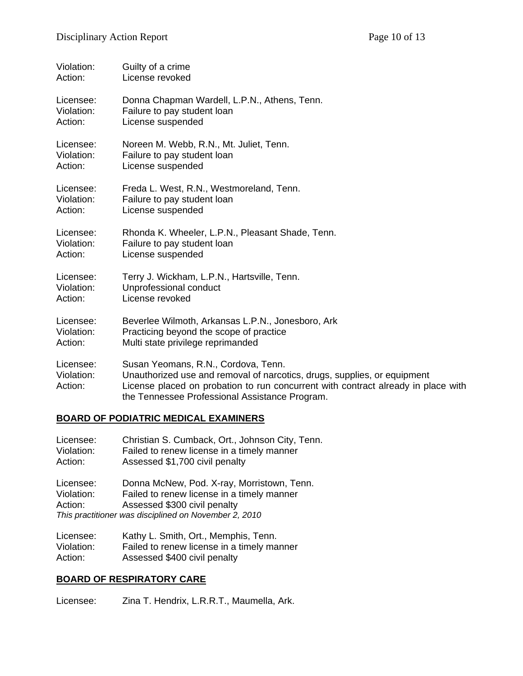| Violation:                         | Guilty of a crime                                                                                                                                                                                                                                      |
|------------------------------------|--------------------------------------------------------------------------------------------------------------------------------------------------------------------------------------------------------------------------------------------------------|
| Action:                            | License revoked                                                                                                                                                                                                                                        |
| Licensee:                          | Donna Chapman Wardell, L.P.N., Athens, Tenn.                                                                                                                                                                                                           |
| Violation:                         | Failure to pay student loan                                                                                                                                                                                                                            |
| Action:                            | License suspended                                                                                                                                                                                                                                      |
| Licensee:                          | Noreen M. Webb, R.N., Mt. Juliet, Tenn.                                                                                                                                                                                                                |
| Violation:                         | Failure to pay student loan                                                                                                                                                                                                                            |
| Action:                            | License suspended                                                                                                                                                                                                                                      |
| Licensee:                          | Freda L. West, R.N., Westmoreland, Tenn.                                                                                                                                                                                                               |
| Violation:                         | Failure to pay student loan                                                                                                                                                                                                                            |
| Action:                            | License suspended                                                                                                                                                                                                                                      |
| Licensee:                          | Rhonda K. Wheeler, L.P.N., Pleasant Shade, Tenn.                                                                                                                                                                                                       |
| Violation:                         | Failure to pay student loan                                                                                                                                                                                                                            |
| Action:                            | License suspended                                                                                                                                                                                                                                      |
| Licensee:                          | Terry J. Wickham, L.P.N., Hartsville, Tenn.                                                                                                                                                                                                            |
| Violation:                         | Unprofessional conduct                                                                                                                                                                                                                                 |
| Action:                            | License revoked                                                                                                                                                                                                                                        |
| Licensee:                          | Beverlee Wilmoth, Arkansas L.P.N., Jonesboro, Ark                                                                                                                                                                                                      |
| Violation:                         | Practicing beyond the scope of practice                                                                                                                                                                                                                |
| Action:                            | Multi state privilege reprimanded                                                                                                                                                                                                                      |
| Licensee:<br>Violation:<br>Action: | Susan Yeomans, R.N., Cordova, Tenn.<br>Unauthorized use and removal of narcotics, drugs, supplies, or equipment<br>License placed on probation to run concurrent with contract already in place with<br>the Tennessee Professional Assistance Program. |

#### **BOARD OF PODIATRIC MEDICAL EXAMINERS**

| Licensee:<br>Violation:<br>Action: | Christian S. Cumback, Ort., Johnson City, Tenn.<br>Failed to renew license in a timely manner<br>Assessed \$1,700 civil penalty                                                   |
|------------------------------------|-----------------------------------------------------------------------------------------------------------------------------------------------------------------------------------|
| Licensee:<br>Violation:<br>Action: | Donna McNew, Pod. X-ray, Morristown, Tenn.<br>Failed to renew license in a timely manner<br>Assessed \$300 civil penalty<br>This practitioner was disciplined on November 2, 2010 |
| $l$ issues                         | Kathul Cmith Ort, Mamphia Tann                                                                                                                                                    |

| Licensee:  | Kathy L. Smith, Ort., Memphis, Tenn.       |
|------------|--------------------------------------------|
| Violation: | Failed to renew license in a timely manner |
| Action:    | Assessed \$400 civil penalty               |

# **BOARD OF RESPIRATORY CARE**

Licensee: Zina T. Hendrix, L.R.R.T., Maumella, Ark.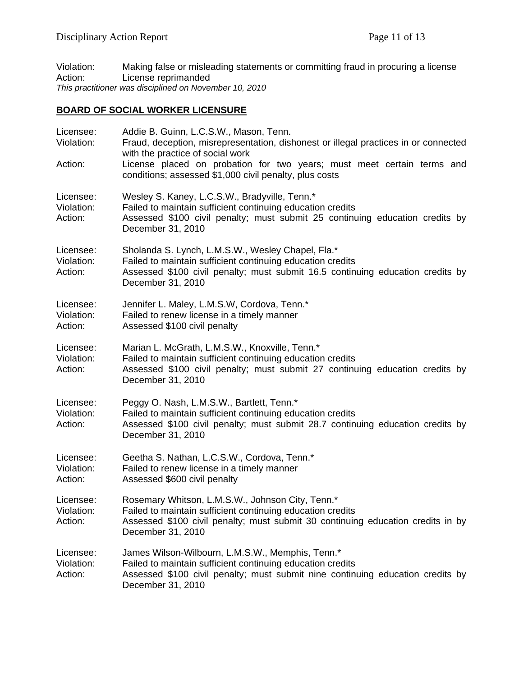Violation: Making false or misleading statements or committing fraud in procuring a license<br>Action: License reprimanded License reprimanded *This practitioner was disciplined on November 10, 2010* 

# **BOARD OF SOCIAL WORKER LICENSURE**

| Licensee:<br>Violation:<br>Action: | Addie B. Guinn, L.C.S.W., Mason, Tenn.<br>Fraud, deception, misrepresentation, dishonest or illegal practices in or connected<br>with the practice of social work<br>License placed on probation for two years; must meet certain terms and<br>conditions; assessed \$1,000 civil penalty, plus costs |
|------------------------------------|-------------------------------------------------------------------------------------------------------------------------------------------------------------------------------------------------------------------------------------------------------------------------------------------------------|
| Licensee:<br>Violation:<br>Action: | Wesley S. Kaney, L.C.S.W., Bradyville, Tenn.*<br>Failed to maintain sufficient continuing education credits<br>Assessed \$100 civil penalty; must submit 25 continuing education credits by<br>December 31, 2010                                                                                      |
| Licensee:<br>Violation:<br>Action: | Sholanda S. Lynch, L.M.S.W., Wesley Chapel, Fla.*<br>Failed to maintain sufficient continuing education credits<br>Assessed \$100 civil penalty; must submit 16.5 continuing education credits by<br>December 31, 2010                                                                                |
| Licensee:<br>Violation:<br>Action: | Jennifer L. Maley, L.M.S.W, Cordova, Tenn.*<br>Failed to renew license in a timely manner<br>Assessed \$100 civil penalty                                                                                                                                                                             |
| Licensee:<br>Violation:<br>Action: | Marian L. McGrath, L.M.S.W., Knoxville, Tenn.*<br>Failed to maintain sufficient continuing education credits<br>Assessed \$100 civil penalty; must submit 27 continuing education credits by<br>December 31, 2010                                                                                     |
| Licensee:<br>Violation:<br>Action: | Peggy O. Nash, L.M.S.W., Bartlett, Tenn.*<br>Failed to maintain sufficient continuing education credits<br>Assessed \$100 civil penalty; must submit 28.7 continuing education credits by<br>December 31, 2010                                                                                        |
| Licensee:<br>Violation:<br>Action: | Geetha S. Nathan, L.C.S.W., Cordova, Tenn.*<br>Failed to renew license in a timely manner<br>Assessed \$600 civil penalty                                                                                                                                                                             |
| Licensee:<br>Violation:<br>Action: | Rosemary Whitson, L.M.S.W., Johnson City, Tenn.*<br>Failed to maintain sufficient continuing education credits<br>Assessed \$100 civil penalty; must submit 30 continuing education credits in by<br>December 31, 2010                                                                                |
| Licensee:<br>Violation:<br>Action: | James Wilson-Wilbourn, L.M.S.W., Memphis, Tenn.*<br>Failed to maintain sufficient continuing education credits<br>Assessed \$100 civil penalty; must submit nine continuing education credits by<br>December 31, 2010                                                                                 |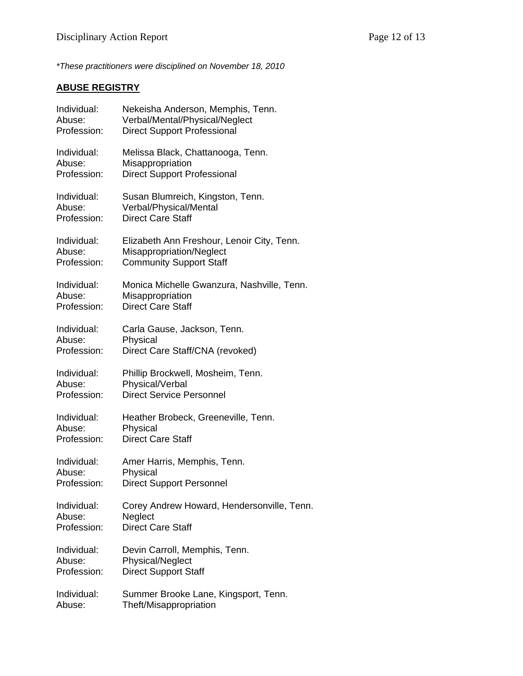*\*These practitioners were disciplined on November 18, 2010*

# **ABUSE REGISTRY**

| Individual: | Nekeisha Anderson, Memphis, Tenn.          |
|-------------|--------------------------------------------|
| Abuse:      | Verbal/Mental/Physical/Neglect             |
| Profession: | <b>Direct Support Professional</b>         |
| Individual: | Melissa Black, Chattanooga, Tenn.          |
| Abuse:      | Misappropriation                           |
| Profession: | <b>Direct Support Professional</b>         |
| Individual: | Susan Blumreich, Kingston, Tenn.           |
| Abuse:      | Verbal/Physical/Mental                     |
| Profession: | <b>Direct Care Staff</b>                   |
| Individual: | Elizabeth Ann Freshour, Lenoir City, Tenn. |
| Abuse:      | Misappropriation/Neglect                   |
| Profession: | <b>Community Support Staff</b>             |
| Individual: | Monica Michelle Gwanzura, Nashville, Tenn. |
| Abuse:      | Misappropriation                           |
| Profession: | <b>Direct Care Staff</b>                   |
| Individual: | Carla Gause, Jackson, Tenn.                |
| Abuse:      | Physical                                   |
| Profession: | Direct Care Staff/CNA (revoked)            |
| Individual: | Phillip Brockwell, Mosheim, Tenn.          |
| Abuse:      | Physical/Verbal                            |
| Profession: | <b>Direct Service Personnel</b>            |
| Individual: | Heather Brobeck, Greeneville, Tenn.        |
| Abuse:      | Physical                                   |
| Profession: | <b>Direct Care Staff</b>                   |
| Individual: | Amer Harris, Memphis, Tenn.                |
| Abuse:      | Physical                                   |
| Profession: | <b>Direct Support Personnel</b>            |
| Individual: | Corey Andrew Howard, Hendersonville, Tenn. |
| Abuse:      | Neglect                                    |
| Profession: | <b>Direct Care Staff</b>                   |
| Individual: | Devin Carroll, Memphis, Tenn.              |
| Abuse:      | Physical/Neglect                           |
| Profession: | <b>Direct Support Staff</b>                |
| Individual: | Summer Brooke Lane, Kingsport, Tenn.       |
| Abuse:      | Theft/Misappropriation                     |